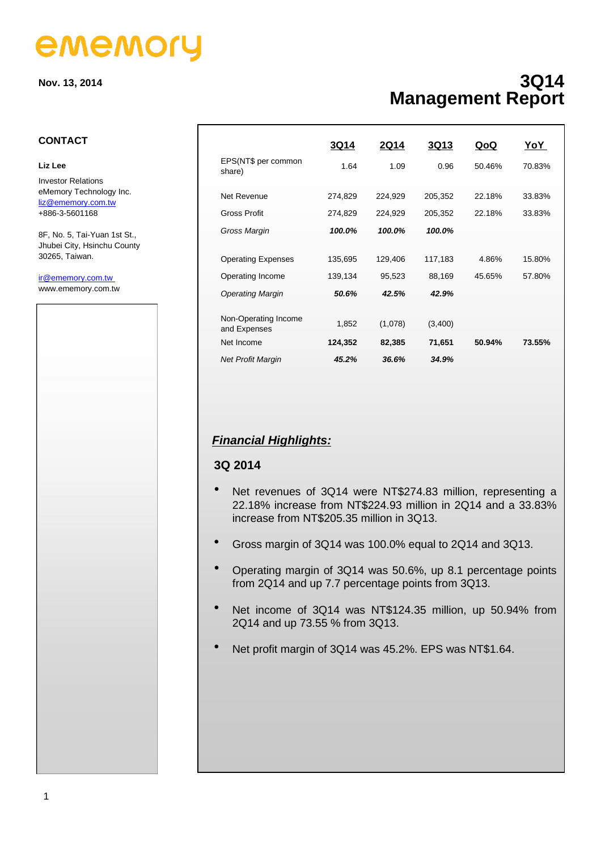# ememory

**Nov. 13, 2014**

### **3Q14 Management Report**

### **CONTACT**

#### **Liz Lee**

Investor Relations eMemory Technology Inc. [liz@ememory.com.tw](mailto:liz@ememory.com.tw) +886-3-5601168

8F, No. 5, Tai-Yuan 1st St., Jhubei City, Hsinchu County 30265, Taiwan.

#### ir@ememory.com.tw www.ememory.com.tw



|                                      | 3Q14    | 2Q14    | <b>3Q13</b> | QoQ    | YoY    |
|--------------------------------------|---------|---------|-------------|--------|--------|
| EPS(NT\$ per common<br>share)        | 1.64    | 1.09    | 0.96        | 50.46% | 70.83% |
| Net Revenue                          | 274,829 | 224,929 | 205,352     | 22.18% | 33.83% |
| <b>Gross Profit</b>                  | 274,829 | 224,929 | 205,352     | 22.18% | 33.83% |
| Gross Margin                         | 100.0%  | 100.0%  | 100.0%      |        |        |
|                                      |         |         |             |        |        |
| <b>Operating Expenses</b>            | 135,695 | 129,406 | 117,183     | 4.86%  | 15.80% |
| Operating Income                     | 139,134 | 95,523  | 88,169      | 45.65% | 57.80% |
| <b>Operating Margin</b>              | 50.6%   | 42.5%   | 42.9%       |        |        |
|                                      |         |         |             |        |        |
| Non-Operating Income<br>and Expenses | 1,852   | (1,078) | (3,400)     |        |        |
| Net Income                           | 124,352 | 82,385  | 71,651      | 50.94% | 73.55% |
| <b>Net Profit Margin</b>             | 45.2%   | 36.6%   | 34.9%       |        |        |

### *Financial Highlights:*

### **3Q 2014**

- Net revenues of 3Q14 were NT\$274.83 million, representing a 22.18% increase from NT\$224.93 million in 2Q14 and a 33.83% increase from NT\$205.35 million in 3Q13.
- Gross margin of 3Q14 was 100.0% equal to 2Q14 and 3Q13.
- Operating margin of 3Q14 was 50.6%, up 8.1 percentage points from 2Q14 and up 7.7 percentage points from 3Q13.
- Net income of 3Q14 was NT\$124.35 million, up 50.94% from 2Q14 and up 73.55 % from 3Q13.
- Net profit margin of 3Q14 was 45.2%. EPS was NT\$1.64.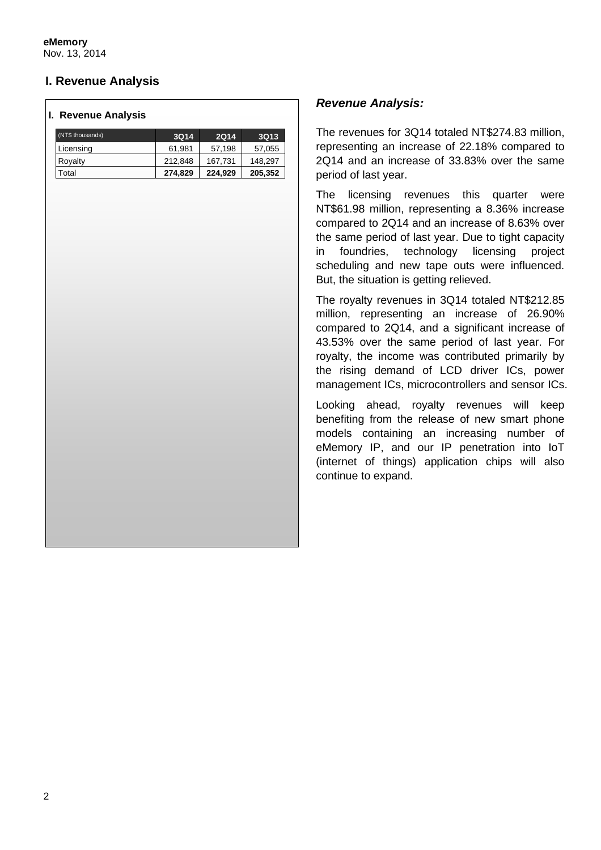**eMemory** Nov. 13, 2014

## **I. Revenue Analysis**

### **I. Revenue Analysis**

| (NT\$ thousands) | <b>3Q14</b> | <b>2Q14</b> | <b>3Q13</b> |
|------------------|-------------|-------------|-------------|
| Licensing        | 61.981      | 57,198      | 57,055      |
| Royalty          | 212,848     | 167,731     | 148,297     |
| Total            | 274,829     | 224,929     | 205,352     |

### *Revenue Analysis:*

The revenues for 3Q14 totaled NT\$274.83 million, representing an increase of 22.18% compared to 2Q14 and an increase of 33.83% over the same period of last year.

The licensing revenues this quarter were NT\$61.98 million, representing a 8.36% increase compared to 2Q14 and an increase of 8.63% over the same period of last year. Due to tight capacity in foundries, technology licensing project scheduling and new tape outs were influenced. But, the situation is getting relieved.

The royalty revenues in 3Q14 totaled NT\$212.85 million, representing an increase of 26.90% compared to 2Q14, and a significant increase of 43.53% over the same period of last year. For royalty, the income was contributed primarily by the rising demand of LCD driver ICs, power management ICs, microcontrollers and sensor ICs.

Looking ahead, royalty revenues will keep benefiting from the release of new smart phone models containing an increasing number of eMemory IP, and our IP penetration into IoT (internet of things) application chips will also continue to expand.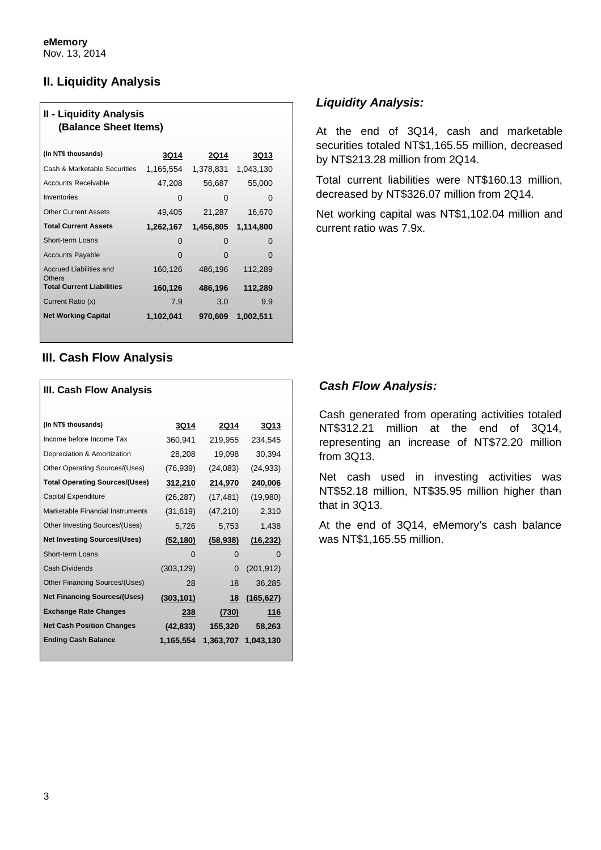### **II. Liquidity Analysis**

| <b>II - Liquidity Analysis</b><br>(Balance Sheet Items) |             |             |             |  |  |
|---------------------------------------------------------|-------------|-------------|-------------|--|--|
| (In NT\$ thousands)                                     | <b>3Q14</b> | <b>2Q14</b> | <b>3Q13</b> |  |  |
| Cash & Marketable Securities                            | 1,165,554   | 1,378,831   | 1,043,130   |  |  |
| <b>Accounts Receivable</b>                              | 47,208      | 56,687      | 55,000      |  |  |
| Inventories                                             | 0           | 0           | O           |  |  |
| <b>Other Current Assets</b>                             | 49,405      | 21,287      | 16,670      |  |  |
| <b>Total Current Assets</b>                             | 1,262,167   | 1,456,805   | 1,114,800   |  |  |
| Short-term Loans                                        | 0           | O           | O           |  |  |
| <b>Accounts Payable</b>                                 | O           | $\Omega$    | O           |  |  |
| <b>Accrued Liabilities and</b>                          | 160,126     | 486,196     | 112,289     |  |  |
| <b>Others</b><br><b>Total Current Liabilities</b>       | 160,126     | 486,196     | 112,289     |  |  |
| Current Ratio (x)                                       | 7.9         | 3.0         | 9.9         |  |  |
| <b>Net Working Capital</b>                              | 1,102,041   | 970,609     | 1,002,511   |  |  |

### **III. Cash Flow Analysis**

| III. Cash Flow Analysis               |             |              |                     |  |  |
|---------------------------------------|-------------|--------------|---------------------|--|--|
|                                       |             |              |                     |  |  |
| (In NT\$ thousands)                   | <b>3Q14</b> | <b>2Q14</b>  | <b>3Q13</b>         |  |  |
| Income before Income Tax              | 360,941     | 219,955      | 234,545             |  |  |
| Depreciation & Amortization           | 28,208      | 19,098       | 30,394              |  |  |
| Other Operating Sources/(Uses)        | (76, 939)   | (24, 083)    | (24, 933)           |  |  |
| <b>Total Operating Sources/(Uses)</b> | 312,210     | 214,970      | 240,006             |  |  |
| Capital Expenditure                   | (26, 287)   | (17, 481)    | (19,980)            |  |  |
| Marketable Financial Instruments      | (31, 619)   | (47, 210)    | 2,310               |  |  |
| Other Investing Sources/(Uses)        | 5,726       | 5,753        | 1,438               |  |  |
| <b>Net Investing Sources/(Uses)</b>   | (52, 180)   | (58, 938)    | (16, 232)           |  |  |
| Short-term Loans                      | O           | $\mathbf{O}$ | $\mathbf{\Omega}$   |  |  |
| <b>Cash Dividends</b>                 | (303, 129)  | 0            | (201, 912)          |  |  |
| Other Financing Sources/(Uses)        | 28          | 18           | 36,285              |  |  |
| <b>Net Financing Sources/(Uses)</b>   | (303, 101)  | 18           | (165, 627)          |  |  |
| <b>Exchange Rate Changes</b>          | 238         | (730)        | 116                 |  |  |
| <b>Net Cash Position Changes</b>      | (42, 833)   | 155,320      | 58,263              |  |  |
| <b>Ending Cash Balance</b>            | 1,165,554   |              | 1,363,707 1,043,130 |  |  |
|                                       |             |              |                     |  |  |

### *Liquidity Analysis:*

At the end of 3Q14, cash and marketable securities totaled NT\$1,165.55 million, decreased by NT\$213.28 million from 2Q14.

Total current liabilities were NT\$160.13 million, decreased by NT\$326.07 million from 2Q14.

Net working capital was NT\$1,102.04 million and current ratio was 7.9x.

### *Cash Flow Analysis:*

Cash generated from operating activities totaled NT\$312.21 million at the end of 3Q14, representing an increase of NT\$72.20 million from 3Q13.

Net cash used in investing activities was NT\$52.18 million, NT\$35.95 million higher than that in 3Q13.

At the end of 3Q14, eMemory's cash balance was NT\$1,165.55 million.